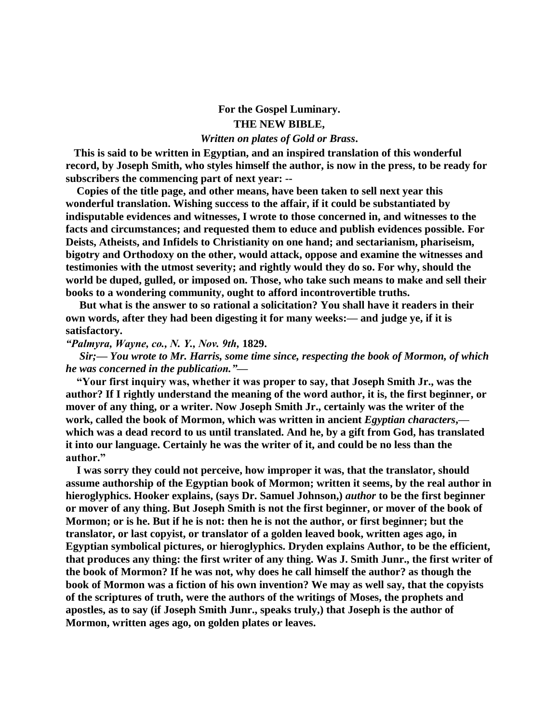# **For the Gospel Luminary. THE NEW BIBLE,**

#### *Written on plates of Gold or Brass***.**

 **This is said to be written in Egyptian, and an inspired translation of this wonderful record, by Joseph Smith, who styles himself the author, is now in the press, to be ready for subscribers the commencing part of next year: --**

 **Copies of the title page, and other means, have been taken to sell next year this wonderful translation. Wishing success to the affair, if it could be substantiated by indisputable evidences and witnesses, I wrote to those concerned in, and witnesses to the facts and circumstances; and requested them to educe and publish evidences possible. For Deists, Atheists, and Infidels to Christianity on one hand; and sectarianism, phariseism, bigotry and Orthodoxy on the other, would attack, oppose and examine the witnesses and testimonies with the utmost severity; and rightly would they do so. For why, should the world be duped, gulled, or imposed on. Those, who take such means to make and sell their books to a wondering community, ought to afford incontrovertible truths.**

 **But what is the answer to so rational a solicitation? You shall have it readers in their own words, after they had been digesting it for many weeks:— and judge ye, if it is satisfactory.**

### *"Palmyra, Wayne, co., N. Y., Nov. 9th,* **1829.**

*Sir;***—** *You wrote to Mr. Harris, some time since, respecting the book of Mormon, of which he was concerned in the publication."—*

 **"Your first inquiry was, whether it was proper to say, that Joseph Smith Jr., was the author? If I rightly understand the meaning of the word author, it is, the first beginner, or mover of any thing, or a writer. Now Joseph Smith Jr., certainly was the writer of the work, called the book of Mormon, which was written in ancient** *Egyptian characters***, which was a dead record to us until translated. And he, by a gift from God, has translated it into our language. Certainly he was the writer of it, and could be no less than the author."**

Mormon, written ages ago, on golden plates or leaves<mark>.</mark>  **I was sorry they could not perceive, how improper it was, that the translator, should assume authorship of the Egyptian book of Mormon; written it seems, by the real author in hieroglyphics. Hooker explains, (says Dr. Samuel Johnson,)** *author* **to be the first beginner or mover of any thing. But Joseph Smith is not the first beginner, or mover of the book of Mormon; or is he. But if he is not: then he is not the author, or first beginner; but the translator, or last copyist, or translator of a golden leaved book, written ages ago, in Egyptian symbolical pictures, or hieroglyphics. Dryden explains Author, to be the efficient, that produces any thing: the first writer of any thing. Was J. Smith Junr., the first writer of the book of Mormon? If he was not, why does he call himself the author? as though the book of Mormon was a fiction of his own invention? We may as well say, that the copyists of the scriptures of truth, were the authors of the writings of Moses, the prophets and apostles, as to say (if Joseph Smith Junr., speaks truly,) that Joseph is the author of**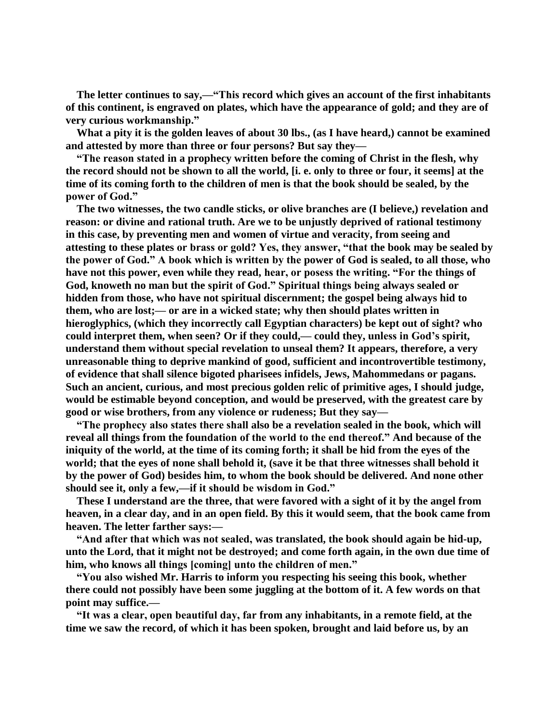**The letter continues to say,—"This record which gives an account of the first inhabitants of this continent, is engraved on plates, which have the appearance of gold; and they are of very curious workmanship."**

 **What a pity it is the golden leaves of about 30 lbs., (as I have heard,) cannot be examined and attested by more than three or four persons? But say they—**

 **"The reason stated in a prophecy written before the coming of Christ in the flesh, why the record should not be shown to all the world, [i. e. only to three or four, it seems] at the time of its coming forth to the children of men is that the book should be sealed, by the power of God."**

 **The two witnesses, the two candle sticks, or olive branches are (I believe,) revelation and reason: or divine and rational truth. Are we to be unjustly deprived of rational testimony in this case, by preventing men and women of virtue and veracity, from seeing and attesting to these plates or brass or gold? Yes, they answer, "that the book may be sealed by the power of God." A book which is written by the power of God is sealed, to all those, who have not this power, even while they read, hear, or posess the writing. "For the things of God, knoweth no man but the spirit of God." Spiritual things being always sealed or hidden from those, who have not spiritual discernment; the gospel being always hid to them, who are lost;— or are in a wicked state; why then should plates written in hieroglyphics, (which they incorrectly call Egyptian characters) be kept out of sight? who could interpret them, when seen? Or if they could,— could they, unless in God's spirit, understand them without special revelation to unseal them? It appears, therefore, a very unreasonable thing to deprive mankind of good, sufficient and incontrovertible testimony, of evidence that shall silence bigoted pharisees infidels, Jews, Mahommedans or pagans. Such an ancient, curious, and most precious golden relic of primitive ages, I should judge, would be estimable beyond conception, and would be preserved, with the greatest care by good or wise brothers, from any violence or rudeness; But they say—**

 **"The prophecy also states there shall also be a revelation sealed in the book, which will reveal all things from the foundation of the world to the end thereof." And because of the iniquity of the world, at the time of its coming forth; it shall be hid from the eyes of the world; that the eyes of none shall behold it, (save it be that three witnesses shall behold it by the power of God) besides him, to whom the book should be delivered. And none other should see it, only a few,—if it should be wisdom in God."**

 **These I understand are the three, that were favored with a sight of it by the angel from heaven, in a clear day, and in an open field. By this it would seem, that the book came from heaven. The letter farther says:—**

 **"And after that which was not sealed, was translated, the book should again be hid-up, unto the Lord, that it might not be destroyed; and come forth again, in the own due time of him, who knows all things [coming] unto the children of men."**

 **"You also wished Mr. Harris to inform you respecting his seeing this book, whether there could not possibly have been some juggling at the bottom of it. A few words on that point may suffice.—**

time we saw the record, of which it has been spoken, brought and laid before us, by an  **"It was a clear, open beautiful day, far from any inhabitants, in a remote field, at the**